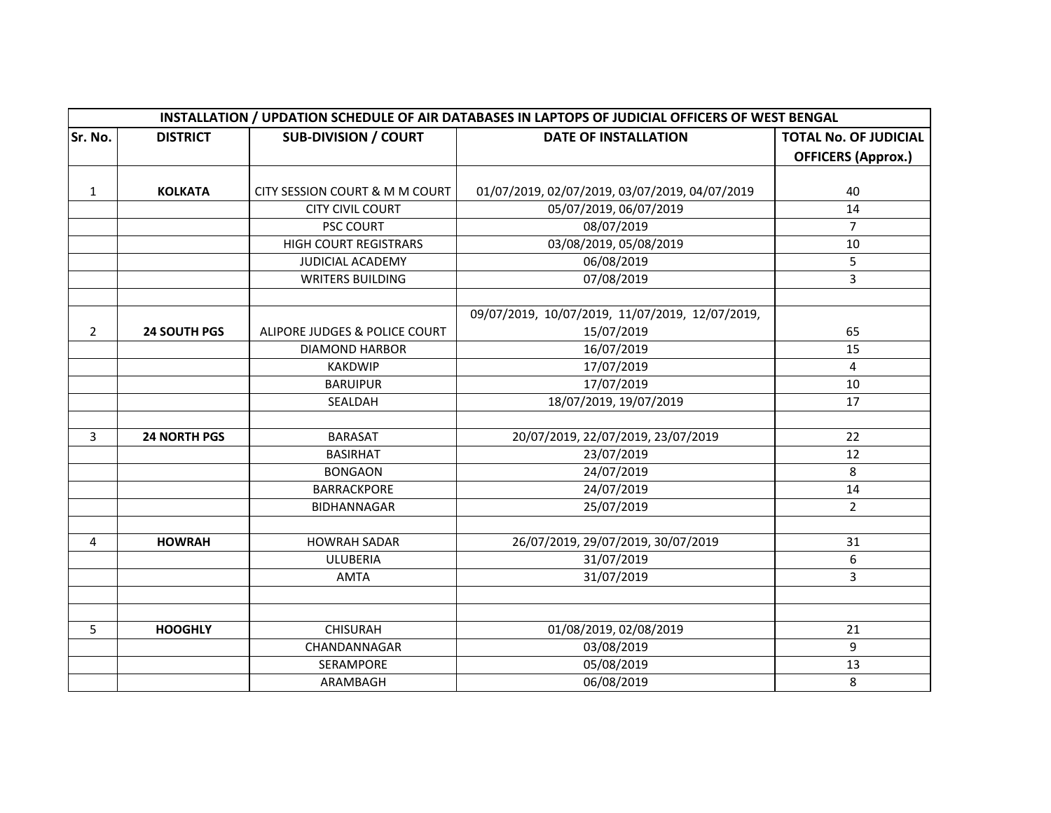|                | INSTALLATION / UPDATION SCHEDULE OF AIR DATABASES IN LAPTOPS OF JUDICIAL OFFICERS OF WEST BENGAL |                                |                                                 |                              |  |  |
|----------------|--------------------------------------------------------------------------------------------------|--------------------------------|-------------------------------------------------|------------------------------|--|--|
| Sr. No.        | <b>DISTRICT</b>                                                                                  | <b>SUB-DIVISION / COURT</b>    | <b>DATE OF INSTALLATION</b>                     | <b>TOTAL No. OF JUDICIAL</b> |  |  |
|                |                                                                                                  |                                |                                                 | <b>OFFICERS (Approx.)</b>    |  |  |
|                |                                                                                                  |                                |                                                 |                              |  |  |
| $\mathbf{1}$   | <b>KOLKATA</b>                                                                                   | CITY SESSION COURT & M M COURT | 01/07/2019, 02/07/2019, 03/07/2019, 04/07/2019  | 40                           |  |  |
|                |                                                                                                  | <b>CITY CIVIL COURT</b>        | 05/07/2019, 06/07/2019                          | 14                           |  |  |
|                |                                                                                                  | PSC COURT                      | 08/07/2019                                      | $\overline{7}$               |  |  |
|                |                                                                                                  | <b>HIGH COURT REGISTRARS</b>   | 03/08/2019, 05/08/2019                          | 10                           |  |  |
|                |                                                                                                  | JUDICIAL ACADEMY               | 06/08/2019                                      | 5                            |  |  |
|                |                                                                                                  | <b>WRITERS BUILDING</b>        | 07/08/2019                                      | 3                            |  |  |
|                |                                                                                                  |                                | 09/07/2019, 10/07/2019, 11/07/2019, 12/07/2019, |                              |  |  |
| $\overline{2}$ | <b>24 SOUTH PGS</b>                                                                              | ALIPORE JUDGES & POLICE COURT  | 15/07/2019                                      | 65                           |  |  |
|                |                                                                                                  | <b>DIAMOND HARBOR</b>          | 16/07/2019                                      | 15                           |  |  |
|                |                                                                                                  | <b>KAKDWIP</b>                 | 17/07/2019                                      | $\overline{4}$               |  |  |
|                |                                                                                                  | <b>BARUIPUR</b>                | 17/07/2019                                      | 10                           |  |  |
|                |                                                                                                  | SEALDAH                        | 18/07/2019, 19/07/2019                          | 17                           |  |  |
| 3              | <b>24 NORTH PGS</b>                                                                              | <b>BARASAT</b>                 | 20/07/2019, 22/07/2019, 23/07/2019              | 22                           |  |  |
|                |                                                                                                  | <b>BASIRHAT</b>                | 23/07/2019                                      | 12                           |  |  |
|                |                                                                                                  | <b>BONGAON</b>                 | 24/07/2019                                      | 8                            |  |  |
|                |                                                                                                  | <b>BARRACKPORE</b>             | 24/07/2019                                      | 14                           |  |  |
|                |                                                                                                  | <b>BIDHANNAGAR</b>             | 25/07/2019                                      | $\overline{2}$               |  |  |
|                |                                                                                                  |                                |                                                 |                              |  |  |
| 4              | <b>HOWRAH</b>                                                                                    | <b>HOWRAH SADAR</b>            | 26/07/2019, 29/07/2019, 30/07/2019              | 31                           |  |  |
|                |                                                                                                  | <b>ULUBERIA</b>                | 31/07/2019                                      | 6                            |  |  |
|                |                                                                                                  | <b>AMTA</b>                    | 31/07/2019                                      | 3                            |  |  |
|                |                                                                                                  |                                |                                                 |                              |  |  |
| 5              | <b>HOOGHLY</b>                                                                                   | <b>CHISURAH</b>                | 01/08/2019, 02/08/2019                          | 21                           |  |  |
|                |                                                                                                  | CHANDANNAGAR                   | 03/08/2019                                      | 9                            |  |  |
|                |                                                                                                  | SERAMPORE                      | 05/08/2019                                      | 13                           |  |  |
|                |                                                                                                  | ARAMBAGH                       | 06/08/2019                                      | 8                            |  |  |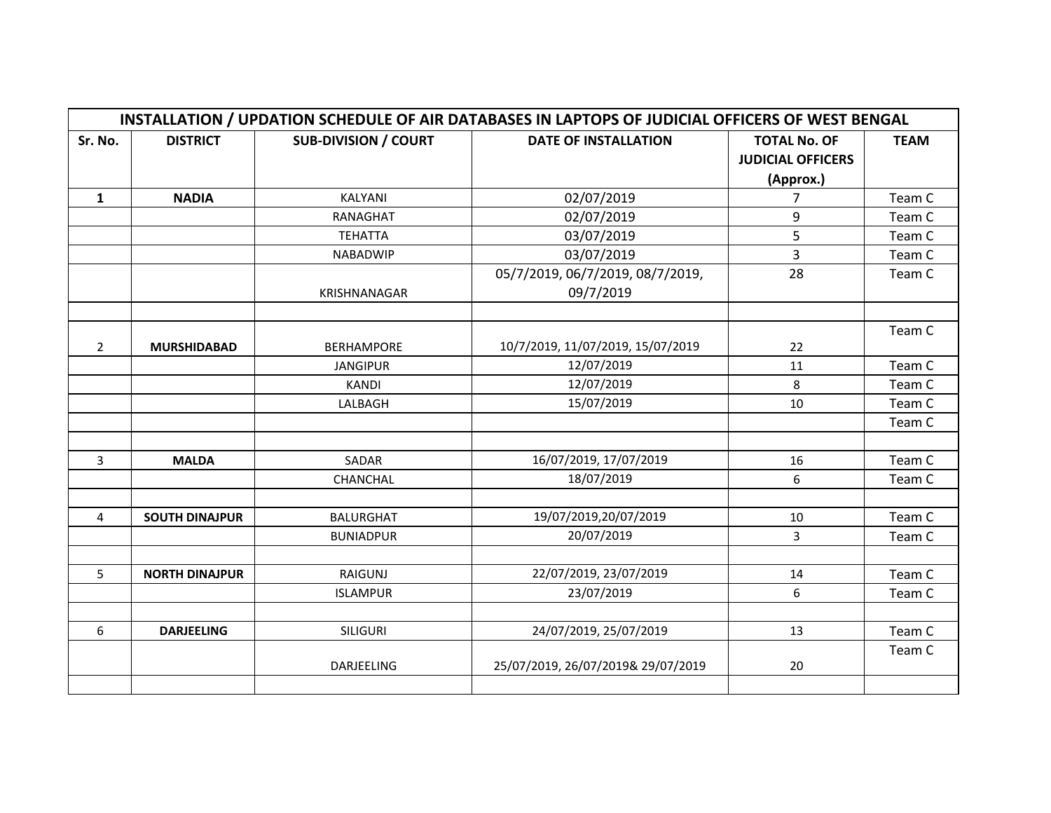|                | INSTALLATION / UPDATION SCHEDULE OF AIR DATABASES IN LAPTOPS OF JUDICIAL OFFICERS OF WEST BENGAL |                             |                                    |                          |             |  |
|----------------|--------------------------------------------------------------------------------------------------|-----------------------------|------------------------------------|--------------------------|-------------|--|
| Sr. No.        | <b>DISTRICT</b>                                                                                  | <b>SUB-DIVISION / COURT</b> | <b>DATE OF INSTALLATION</b>        | <b>TOTAL No. OF</b>      | <b>TEAM</b> |  |
|                |                                                                                                  |                             |                                    | <b>JUDICIAL OFFICERS</b> |             |  |
|                |                                                                                                  |                             |                                    | (Approx.)                |             |  |
| $\mathbf{1}$   | <b>NADIA</b>                                                                                     | KALYANI                     | 02/07/2019                         | 7                        | Team C      |  |
|                |                                                                                                  | RANAGHAT                    | 02/07/2019                         | 9                        | Team C      |  |
|                |                                                                                                  | <b>TEHATTA</b>              | 03/07/2019                         | 5                        | Team C      |  |
|                |                                                                                                  | <b>NABADWIP</b>             | 03/07/2019                         | 3                        | Team C      |  |
|                |                                                                                                  |                             | 05/7/2019, 06/7/2019, 08/7/2019,   | 28                       | Team C      |  |
|                |                                                                                                  | <b>KRISHNANAGAR</b>         | 09/7/2019                          |                          |             |  |
|                |                                                                                                  |                             |                                    |                          |             |  |
|                |                                                                                                  |                             |                                    |                          | Team C      |  |
| $\overline{2}$ | <b>MURSHIDABAD</b>                                                                               | <b>BERHAMPORE</b>           | 10/7/2019, 11/07/2019, 15/07/2019  | 22                       |             |  |
|                |                                                                                                  | <b>JANGIPUR</b>             | 12/07/2019                         | 11                       | Team C      |  |
|                |                                                                                                  | <b>KANDI</b>                | 12/07/2019                         | 8                        | Team C      |  |
|                |                                                                                                  | LALBAGH                     | 15/07/2019                         | 10                       | Team C      |  |
|                |                                                                                                  |                             |                                    |                          | Team C      |  |
|                |                                                                                                  |                             |                                    |                          |             |  |
| $\overline{3}$ | <b>MALDA</b>                                                                                     | SADAR                       | 16/07/2019, 17/07/2019             | 16                       | Team C      |  |
|                |                                                                                                  | CHANCHAL                    | 18/07/2019                         | 6                        | Team C      |  |
|                |                                                                                                  |                             |                                    |                          |             |  |
| $\overline{4}$ | <b>SOUTH DINAJPUR</b>                                                                            | <b>BALURGHAT</b>            | 19/07/2019,20/07/2019              | 10                       | Team C      |  |
|                |                                                                                                  | <b>BUNIADPUR</b>            | 20/07/2019                         | 3                        | Team C      |  |
|                |                                                                                                  |                             |                                    |                          |             |  |
| 5              | <b>NORTH DINAJPUR</b>                                                                            | <b>RAIGUNJ</b>              | 22/07/2019, 23/07/2019             | 14                       | Team C      |  |
|                |                                                                                                  | <b>ISLAMPUR</b>             | 23/07/2019                         | 6                        | Team C      |  |
|                |                                                                                                  |                             |                                    |                          |             |  |
| 6              | <b>DARJEELING</b>                                                                                | <b>SILIGURI</b>             | 24/07/2019, 25/07/2019             | 13                       | Team C      |  |
|                |                                                                                                  |                             |                                    |                          | Team C      |  |
|                |                                                                                                  | DARJEELING                  | 25/07/2019, 26/07/2019& 29/07/2019 | 20                       |             |  |
|                |                                                                                                  |                             |                                    |                          |             |  |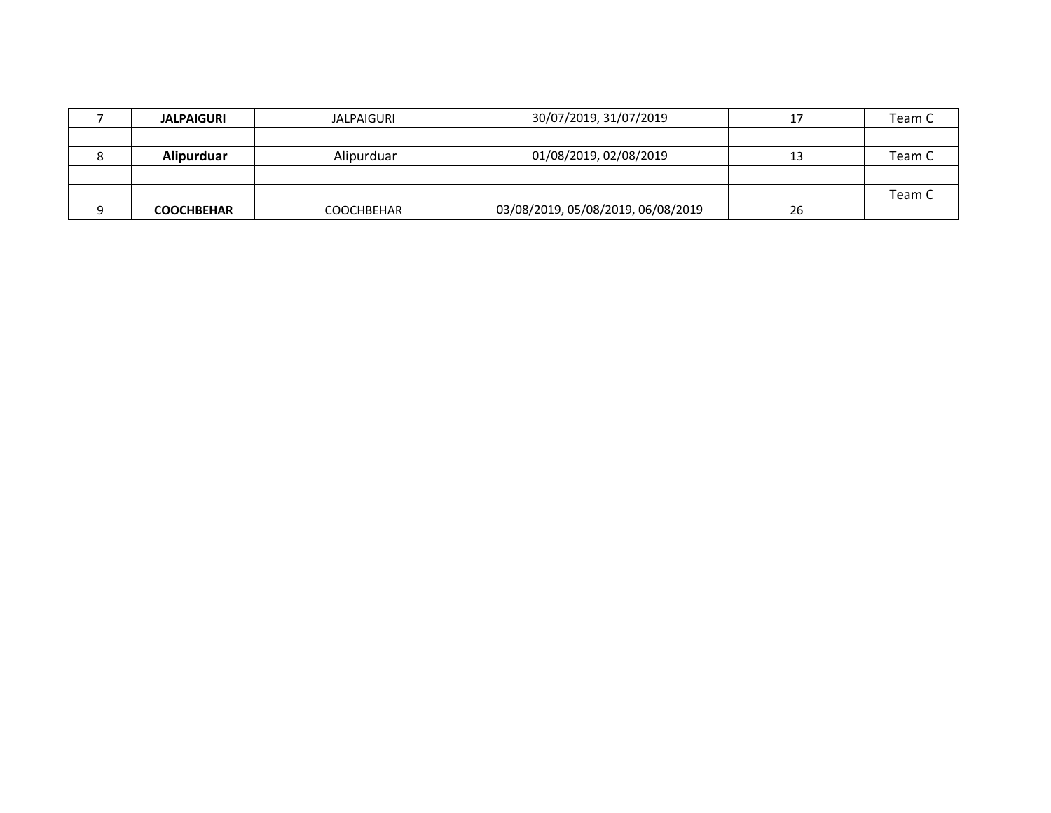| <b>JALPAIGURI</b> | <b>JALPAIGURI</b> | 30/07/2019, 31/07/2019             |    | Team C |
|-------------------|-------------------|------------------------------------|----|--------|
|                   |                   |                                    |    |        |
| Alipurduar        | Alipurduar        | 01/08/2019, 02/08/2019             |    | Team C |
|                   |                   |                                    |    |        |
|                   |                   |                                    |    | Team C |
| <b>COOCHBEHAR</b> | COOCHBEHAR        | 03/08/2019, 05/08/2019, 06/08/2019 | 26 |        |